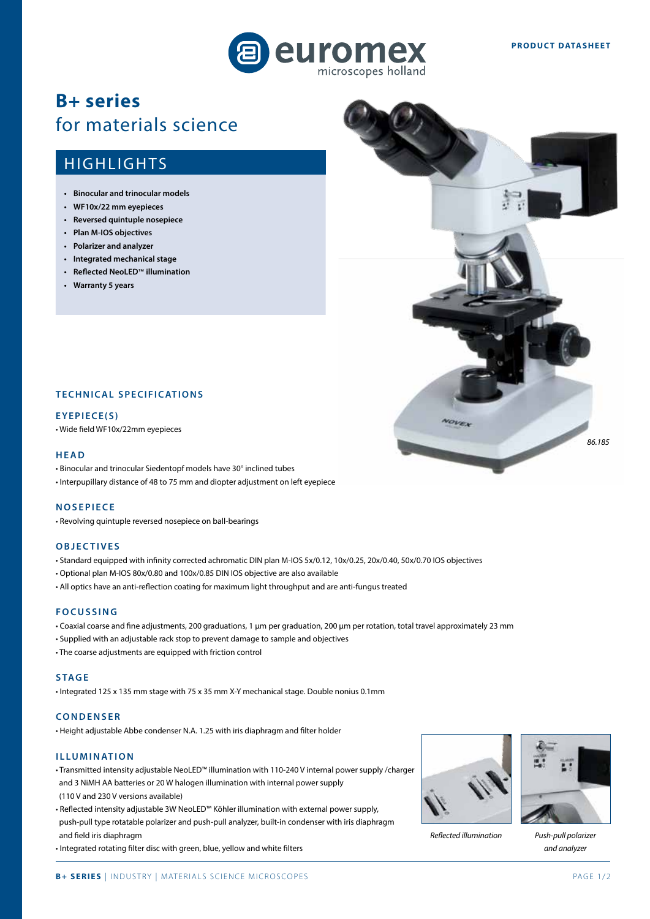

# **B+ series** for materials science

# **HIGHLIGHTS**

- **• Binocular and trinocular models**
- **• WF10x/22 mm eyepieces**
- **• Reversed quintuple nosepiece**
- **• Plan M-IOS objectives**
- **• Polarizer and analyzer**
- **• Integrated mechanical stage**
- **• Reflected NeoLED**™ **illumination**
- **• Warranty 5 years**



#### **EYEPIECE(S)**

• Wide field WF10x/22mm eyepieces

#### **HEAD**

- Binocular and trinocular Siedentopf models have 30° inclined tubes
- Interpupillary distance of 48 to 75 mm and diopter adjustment on left eyepiece

#### **NOSEPIECE**

• Revolving quintuple reversed nosepiece on ball-bearings

## **OBJECTIVES**

- Standard equipped with infinity corrected achromatic DIN plan M-IOS 5x/0.12, 10x/0.25, 20x/0.40, 50x/0.70 IOS objectives
- Optional plan M-IOS 80x/0.80 and 100x/0.85 DIN IOS objective are also available
- All optics have an anti-reflection coating for maximum light throughput and are anti-fungus treated

#### **FOCUSSING**

- Coaxial coarse and fine adjustments, 200 graduations, 1 μm per graduation, 200 μm per rotation, total travel approximately 23 mm
- Supplied with an adjustable rack stop to prevent damage to sample and objectives
- The coarse adjustments are equipped with friction control

#### **STAGE**

• Integrated 125 x 135 mm stage with 75 x 35 mm X-Y mechanical stage. Double nonius 0.1mm

#### **CONDENSER**

• Height adjustable Abbe condenser N.A. 1.25 with iris diaphragm and filter holder

#### **ILLUMINATION**

- Transmitted intensity adjustable NeoLED™ illumination with 110-240 V internal power supply /charger and 3 NiMH AA batteries or 20 W halogen illumination with internal power supply (110 V and 230 V versions available)
- Reflected intensity adjustable 3W NeoLED™ Köhler illumination with external power supply, push-pull type rotatable polarizer and push-pull analyzer, built-in condenser with iris diaphragm and field iris diaphragm
- Integrated rotating filter disc with green, blue, yellow and white filters



*Reflected illumination*

*Push-pull polarizer and analyzer*